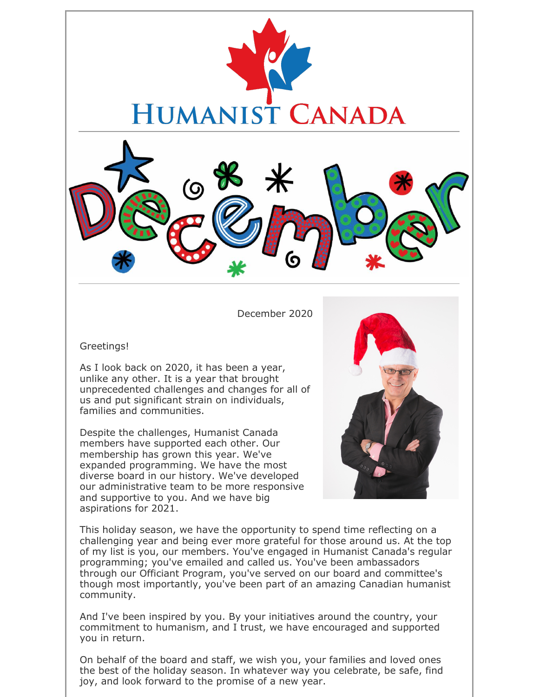

December 2020

Greetings!

As I look back on 2020, it has been a year, unlike any other. It is a year that brought unprecedented challenges and changes for all of us and put significant strain on individuals, families and communities.

Despite the challenges, Humanist Canada members have supported each other. Our membership has grown this year. We've expanded programming. We have the most diverse board in our history. We've developed our administrative team to be more responsive and supportive to you. And we have big aspirations for 2021.



This holiday season, we have the opportunity to spend time reflecting on a challenging year and being ever more grateful for those around us. At the top of my list is you, our members. You've engaged in Humanist Canada's regular programming; you've emailed and called us. You've been ambassadors through our Officiant Program, you've served on our board and committee's though most importantly, you've been part of an amazing Canadian humanist community.

And I've been inspired by you. By your initiatives around the country, your commitment to humanism, and I trust, we have encouraged and supported you in return.

On behalf of the board and staff, we wish you, your families and loved ones the best of the holiday season. In whatever way you celebrate, be safe, find joy, and look forward to the promise of a new year.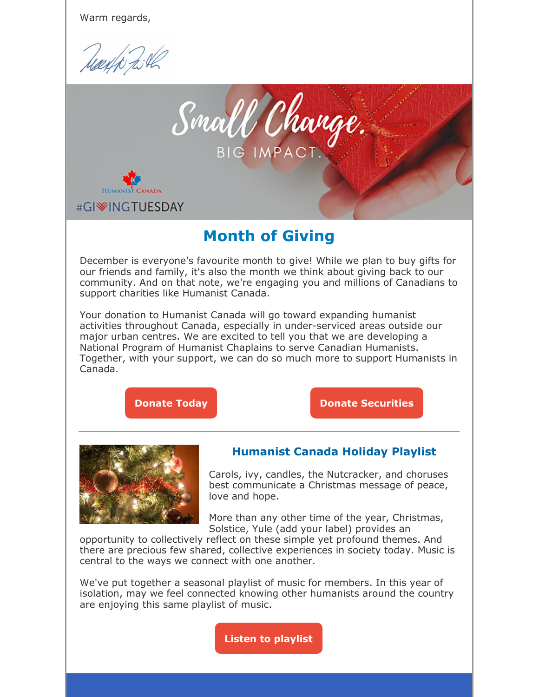Warm regards,

Mayo 2:42



### **Month of Giving**

December is everyone's favourite month to give! While we plan to buy gifts for our friends and family, it's also the month we think about giving back to our community. And on that note, we're engaging you and millions of Canadians to support charities like Humanist Canada.

Your donation to Humanist Canada will go toward expanding humanist activities throughout Canada, especially in under-serviced areas outside our major urban centres. We are excited to tell you that we are developing a National Program of Humanist Chaplains to serve Canadian Humanists. Together, with your support, we can do so much more to support Humanists in Canada.





### **Humanist Canada Holiday Playlist**

Carols, ivy, candles, the Nutcracker, and choruses best communicate a Christmas message of peace, love and hope.

More than any other time of the year, Christmas, Solstice, Yule (add your label) provides an

opportunity to collectively reflect on these simple yet profound themes. And there are precious few shared, collective experiences in society today. Music is central to the ways we connect with one another.

We've put together a seasonal playlist of music for members. In this year of isolation, may we feel connected knowing other humanists around the country are enjoying this same playlist of music.

**Listen to playlist**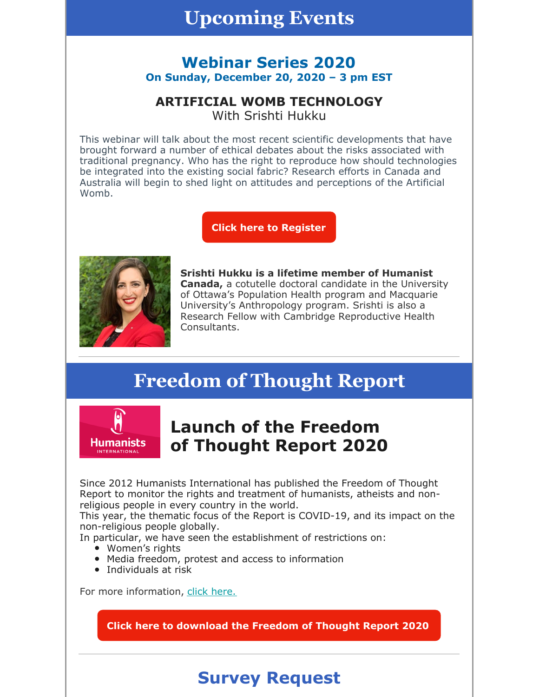### **Upcoming Events**

### **Webinar Series 2020 On Sunday, December 20, 2020 – 3 pm EST**

#### **ARTIFICIAL WOMB TECHNOLOGY** With Srishti Hukku

This webinar will talk about the most recent scientific developments that have brought forward a number of ethical debates about the risks associated with traditional pregnancy. Who has the right to reproduce how should technologies be integrated into the existing social fabric? Research efforts in Canada and Australia will begin to shed light on attitudes and perceptions of the Artificial Womb.

**Click here to Register**



**Srishti Hukku is a lifetime member of Humanist Canada,** a cotutelle doctoral candidate in the University of Ottawa's Population Health program and Macquarie University's Anthropology program. Srishti is also a Research Fellow with Cambridge Reproductive Health Consultants.

# **Freedom of Thought Report**



### **Launch of the Freedom of Thought Report 2020**

Since 2012 Humanists International has published the Freedom of Thought Report to monitor the rights and treatment of humanists, atheists and nonreligious people in every country in the world.

This year, the thematic focus of the Report is COVID-19, and its impact on the non-religious people globally.

In particular, we have seen the establishment of restrictions on:

- Women's rights
- Media freedom, protest and access to information
- Individuals at risk

For more information, click here.

**Click here to download the Freedom of Thought Report 2020**

# **Survey Request**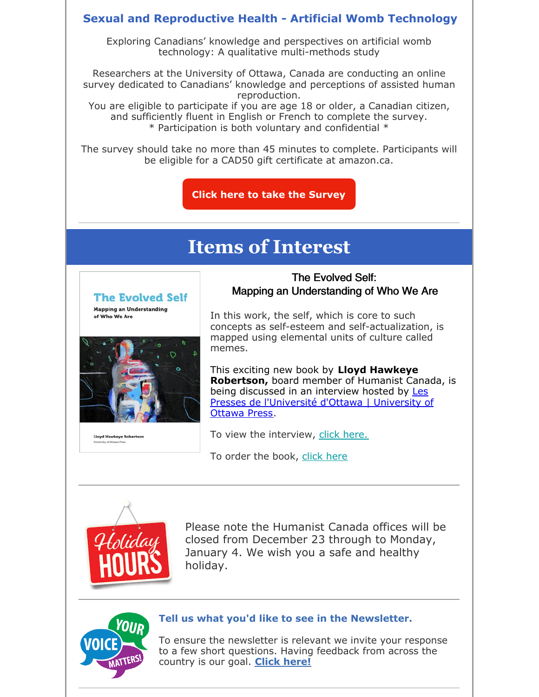#### **Sexual and Reproductive Health - Artificial Womb Technology**

Exploring Canadians' knowledge and perspectives on artificial womb technology: A qualitative multi-methods study

Researchers at the University of Ottawa, Canada are conducting an online survey dedicated to Canadians' knowledge and perceptions of assisted human reproduction.

You are eligible to participate if you are age 18 or older, a Canadian citizen, and sufficiently fluent in English or French to complete the survey. \* Participation is both voluntary and confidential \*

The survey should take no more than 45 minutes to complete. Participants will be eligible for a CAD50 gift certificate at amazon.ca.

**Click here to take the Survey**

## **Items of Interest**



**Lloyd Hawkeye Rob** 

The Evolved Self: Mapping an Understanding of Who We Are

In this work, the self, which is core to such concepts as self-esteem and self-actualization, is mapped using elemental units of culture called memes.

This exciting new book by **Lloyd Hawkeye Robertson,** board member of Humanist Canada, is being discussed in an interview hosted by Les Presses de l'Université d'Ottawa | University of Ottawa Press.

To view the interview, click here.

To order the book, click here



Please note the Humanist Canada offices will be closed from December 23 through to Monday, January 4. We wish you a safe and healthy holiday.



#### **Tell us what you'd like to see in the Newsletter.**

To ensure the newsletter is relevant we invite your response to a few short questions. Having feedback from across the country is our goal. **Click here!**